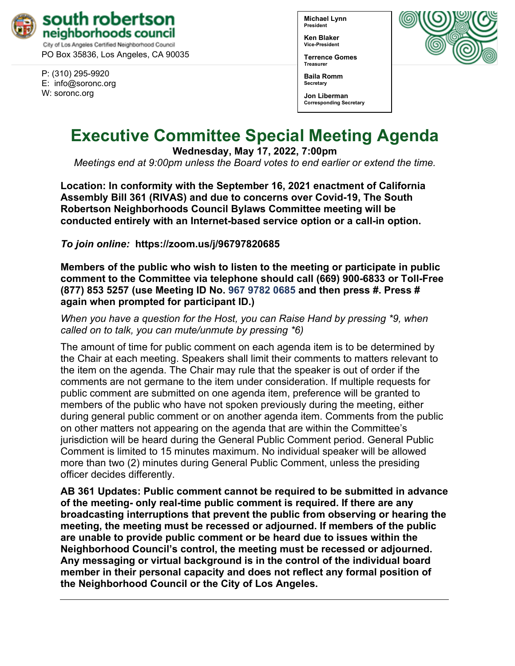

City of Los Angeles Certified Neighborhood Council PO Box 35836, Los Angeles, CA 90035

P: (310) 295-9920 E: [info@soronc.org](mailto:info@soronc.org) W: soronc.org

**Michael Lynn President**

**Ken Blaker Vice-President**

**Terrence Gomes Treasurer**

**Baila Romm Secretary**

**Jon Liberman Corresponding Secretary**



# **Executive Committee Special Meeting Agenda**

**Wednesday, May 17, 2022, 7:00pm**

*Meetings end at 9:00pm unless the Board votes to end earlier or extend the time.*

**Location: In conformity with the September 16, 2021 enactment of California Assembly Bill 361 (RIVAS) and due to concerns over Covid-19, The South Robertson Neighborhoods Council Bylaws Committee meeting will be conducted entirely with an Internet-based service option or a call-in option.** 

*To join online:* **<https://zoom.us/j/96797820685>**

**Members of the public who wish to listen to the meeting or participate in public comment to the Committee via telephone should call (669) 900-6833 or Toll-Free (877) 853 5257 (use Meeting ID No. 967 9782 0685 and then press #. Press # again when prompted for participant ID.)** 

*When you have a question for the Host, you can Raise Hand by pressing \*9, when called on to talk, you can mute/unmute by pressing \*6)* 

The amount of time for public comment on each agenda item is to be determined by the Chair at each meeting. Speakers shall limit their comments to matters relevant to the item on the agenda. The Chair may rule that the speaker is out of order if the comments are not germane to the item under consideration. If multiple requests for public comment are submitted on one agenda item, preference will be granted to members of the public who have not spoken previously during the meeting, either during general public comment or on another agenda item. Comments from the public on other matters not appearing on the agenda that are within the Committee's jurisdiction will be heard during the General Public Comment period. General Public Comment is limited to 15 minutes maximum. No individual speaker will be allowed more than two (2) minutes during General Public Comment, unless the presiding officer decides differently.

**AB 361 Updates: Public comment cannot be required to be submitted in advance of the meeting- only real-time public comment is required. If there are any broadcasting interruptions that prevent the public from observing or hearing the meeting, the meeting must be recessed or adjourned. If members of the public are unable to provide public comment or be heard due to issues within the Neighborhood Council's control, the meeting must be recessed or adjourned. Any messaging or virtual background is in the control of the individual board member in their personal capacity and does not reflect any formal position of the Neighborhood Council or the City of Los Angeles.**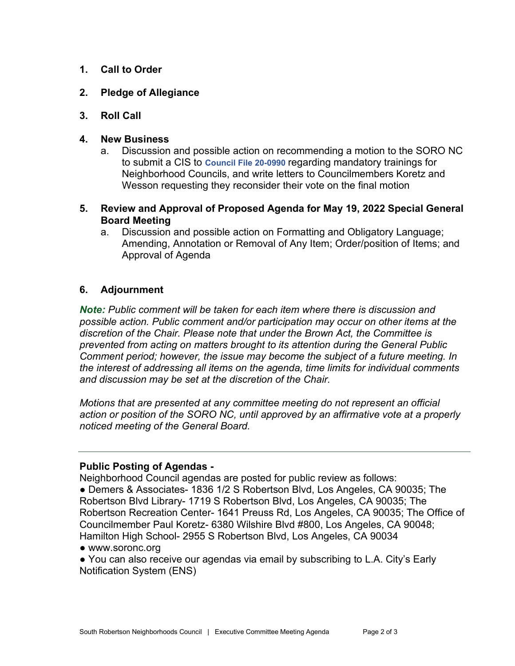- **1. Call to Order**
- **2. Pledge of Allegiance**
- **3. Roll Call**

### **4. New Business**

- a. Discussion and possible action on recommending a motion to the SORO NC to submit a CIS to **[Council File 20-0990](https://cityclerk.lacity.org/lacityclerkconnect/index.cfm?fa=ccfi.viewrecord&cfnumber=20-0990)** regarding mandatory trainings for Neighborhood Councils, and write letters to Councilmembers Koretz and Wesson requesting they reconsider their vote on the final motion
- **5. Review and Approval of Proposed Agenda for May 19, 2022 Special General Board Meeting**
	- a. Discussion and possible action on Formatting and Obligatory Language; Amending, Annotation or Removal of Any Item; Order/position of Items; and Approval of Agenda

## **6. Adjournment**

*Note: Public comment will be taken for each item where there is discussion and possible action. Public comment and/or participation may occur on other items at the discretion of the Chair. Please note that under the Brown Act, the Committee is prevented from acting on matters brought to its attention during the General Public Comment period; however, the issue may become the subject of a future meeting. In the interest of addressing all items on the agenda, time limits for individual comments and discussion may be set at the discretion of the Chair.*

*Motions that are presented at any committee meeting do not represent an official action or position of the SORO NC, until approved by an affirmative vote at a properly noticed meeting of the General Board.*

#### **Public Posting of Agendas -**

Neighborhood Council agendas are posted for public review as follows:

● Demers & Associates- 1836 1/2 S Robertson Blvd, Los Angeles, CA 90035; The Robertson Blvd Library- 1719 S Robertson Blvd, Los Angeles, CA 90035; The Robertson Recreation Center- 1641 Preuss Rd, Los Angeles, CA 90035; The Office of Councilmember Paul Koretz- 6380 Wilshire Blvd #800, Los Angeles, CA 90048; Hamilton High School- 2955 S Robertson Blvd, Los Angeles, CA 90034

- [www.soronc.org](http://www.soronc.org/)
- You can also receive our agendas via email by subscribing to L.A. City's [Early](https://www.lacity.org/government/subscribe-agendasnotifications/neighborhood-councils)  [Notification System \(ENS\)](https://www.lacity.org/government/subscribe-agendasnotifications/neighborhood-councils)